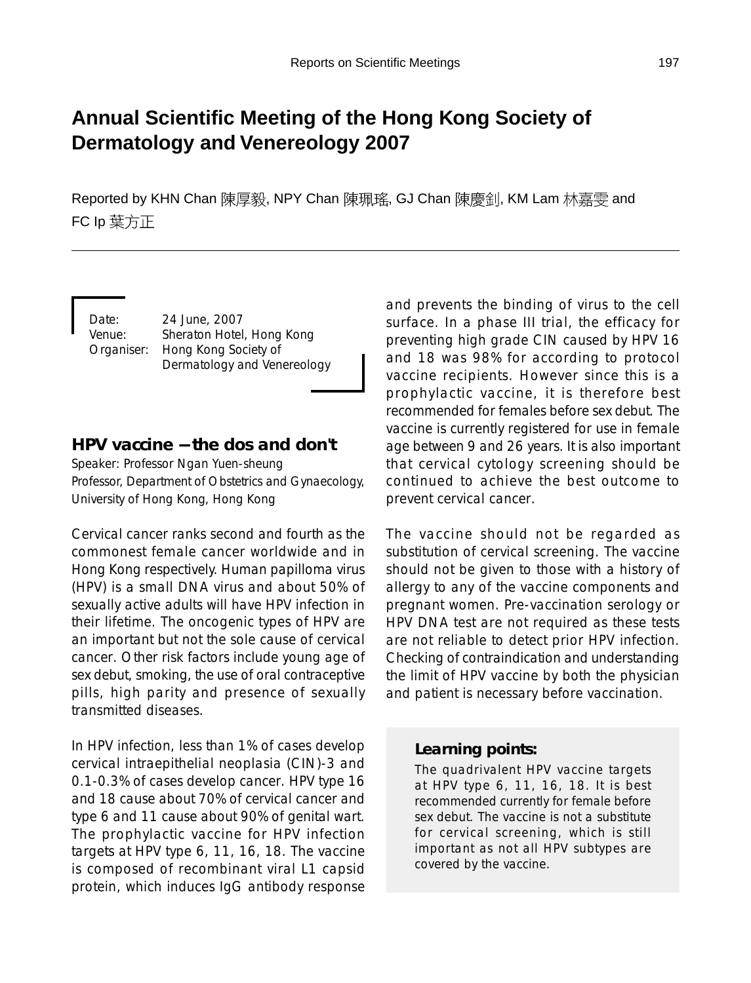# **Annual Scientific Meeting of the Hong Kong Society of Dermatology and Venereology 2007**

Reported by KHN Chan 陳厚毅, NPY Chan 陳珮瑤, GJ Chan 陳慶釗, KM Lam 林嘉雯 and FC Ip 葉方正

Date: 24 June, 2007 Venue: Sheraton Hotel, Hong Kong Organiser: Hong Kong Society of Dermatology and Venereology

### **HPV vaccine** − **the dos and don't**

Speaker: Professor Ngan Yuen-sheung Professor, Department of Obstetrics and Gynaecology, University of Hong Kong, Hong Kong

Cervical cancer ranks second and fourth as the commonest female cancer worldwide and in Hong Kong respectively. Human papilloma virus (HPV) is a small DNA virus and about 50% of sexually active adults will have HPV infection in their lifetime. The oncogenic types of HPV are an important but not the sole cause of cervical cancer. Other risk factors include young age of sex debut, smoking, the use of oral contraceptive pills, high parity and presence of sexually transmitted diseases.

In HPV infection, less than 1% of cases develop cervical intraepithelial neoplasia (CIN)-3 and 0.1-0.3% of cases develop cancer. HPV type 16 and 18 cause about 70% of cervical cancer and type 6 and 11 cause about 90% of genital wart. The prophylactic vaccine for HPV infection targets at HPV type 6, 11, 16, 18. The vaccine is composed of recombinant viral L1 capsid protein, which induces IgG antibody response and prevents the binding of virus to the cell surface. In a phase III trial, the efficacy for preventing high grade CIN caused by HPV 16 and 18 was 98% for according to protocol vaccine recipients. However since this is a prophylactic vaccine, it is therefore best recommended for females before sex debut. The vaccine is currently registered for use in female age between 9 and 26 years. It is also important that cervical cytology screening should be continued to achieve the best outcome to prevent cervical cancer.

The vaccine should not be regarded as substitution of cervical screening. The vaccine should not be given to those with a history of allergy to any of the vaccine components and pregnant women. Pre-vaccination serology or HPV DNA test are not required as these tests are not reliable to detect prior HPV infection. Checking of contraindication and understanding the limit of HPV vaccine by both the physician and patient is necessary before vaccination.

#### *Learning points:*

The quadrivalent HPV vaccine targets at HPV type 6, 11, 16, 18. It is best recommended currently for female before sex debut. The vaccine is not a substitute for cervical screening, which is still important as not all HPV subtypes are covered by the vaccine.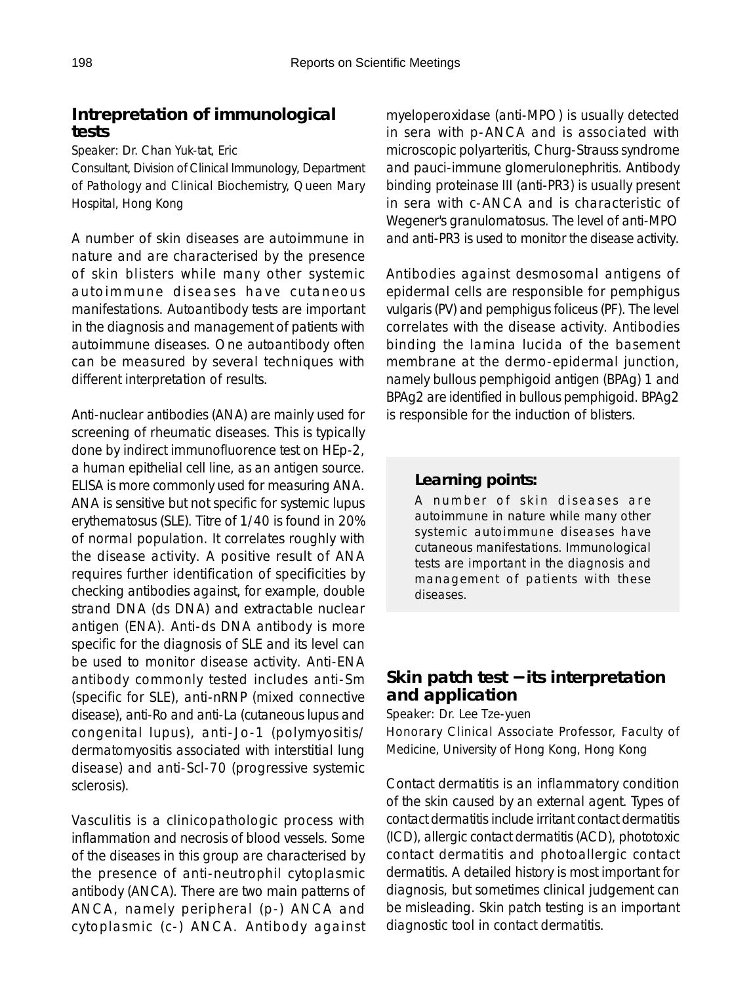### **Intrepretation of immunological tests**

Speaker: Dr. Chan Yuk-tat, Eric

Consultant, Division of Clinical Immunology, Department of Pathology and Clinical Biochemistry, Queen Mary Hospital, Hong Kong

A number of skin diseases are autoimmune in nature and are characterised by the presence of skin blisters while many other systemic autoimmune diseases have cutaneous manifestations. Autoantibody tests are important in the diagnosis and management of patients with autoimmune diseases. One autoantibody often can be measured by several techniques with different interpretation of results.

Anti-nuclear antibodies (ANA) are mainly used for screening of rheumatic diseases. This is typically done by indirect immunofluorence test on HEp-2, a human epithelial cell line, as an antigen source. ELISA is more commonly used for measuring ANA. ANA is sensitive but not specific for systemic lupus erythematosus (SLE). Titre of 1/40 is found in 20% of normal population. It correlates roughly with the disease activity. A positive result of ANA requires further identification of specificities by checking antibodies against, for example, double strand DNA (ds DNA) and extractable nuclear antigen (ENA). Anti-ds DNA antibody is more specific for the diagnosis of SLE and its level can be used to monitor disease activity. Anti-ENA antibody commonly tested includes anti-Sm (specific for SLE), anti-nRNP (mixed connective disease), anti-Ro and anti-La (cutaneous lupus and congenital lupus), anti-Jo-1 (polymyositis/ dermatomyositis associated with interstitial lung disease) and anti-Scl-70 (progressive systemic sclerosis).

Vasculitis is a clinicopathologic process with inflammation and necrosis of blood vessels. Some of the diseases in this group are characterised by the presence of anti-neutrophil cytoplasmic antibody (ANCA). There are two main patterns of ANCA, namely peripheral (p-) ANCA and cytoplasmic (c-) ANCA. Antibody against myeloperoxidase (anti-MPO) is usually detected in sera with p-ANCA and is associated with microscopic polyarteritis, Churg-Strauss syndrome and pauci-immune glomerulonephritis. Antibody binding proteinase III (anti-PR3) is usually present in sera with c-ANCA and is characteristic of Wegener's granulomatosus. The level of anti-MPO and anti-PR3 is used to monitor the disease activity.

Antibodies against desmosomal antigens of epidermal cells are responsible for pemphigus vulgaris (PV) and pemphigus foliceus (PF). The level correlates with the disease activity. Antibodies binding the lamina lucida of the basement membrane at the dermo-epidermal junction, namely bullous pemphigoid antigen (BPAg) 1 and BPAg2 are identified in bullous pemphigoid. BPAg2 is responsible for the induction of blisters.

#### *Learning points:*

A number of skin diseases are autoimmune in nature while many other systemic autoimmune diseases have cutaneous manifestations. Immunological tests are important in the diagnosis and management of patients with these diseases.

#### **Skin patch test** − **its interpretation and application**

Speaker: Dr. Lee Tze-yuen

Honorary Clinical Associate Professor, Faculty of Medicine, University of Hong Kong, Hong Kong

Contact dermatitis is an inflammatory condition of the skin caused by an external agent. Types of contact dermatitis include irritant contact dermatitis (ICD), allergic contact dermatitis (ACD), phototoxic contact dermatitis and photoallergic contact dermatitis. A detailed history is most important for diagnosis, but sometimes clinical judgement can be misleading. Skin patch testing is an important diagnostic tool in contact dermatitis.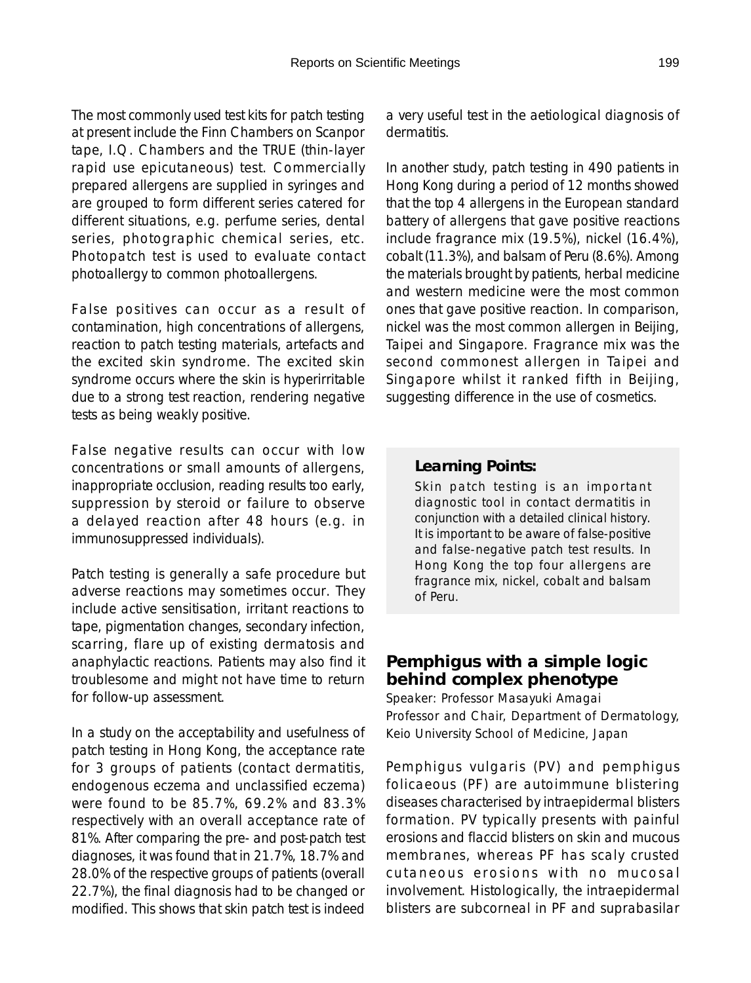The most commonly used test kits for patch testing at present include the Finn Chambers on Scanpor tape, I.Q. Chambers and the TRUE (thin-layer rapid use epicutaneous) test. Commercially prepared allergens are supplied in syringes and are grouped to form different series catered for different situations, e.g. perfume series, dental series, photographic chemical series, etc. Photopatch test is used to evaluate contact photoallergy to common photoallergens.

False positives can occur as a result of contamination, high concentrations of allergens, reaction to patch testing materials, artefacts and the excited skin syndrome. The excited skin syndrome occurs where the skin is hyperirritable due to a strong test reaction, rendering negative tests as being weakly positive.

False negative results can occur with low concentrations or small amounts of allergens, inappropriate occlusion, reading results too early, suppression by steroid or failure to observe a delayed reaction after 48 hours (e.g. in immunosuppressed individuals).

Patch testing is generally a safe procedure but adverse reactions may sometimes occur. They include active sensitisation, irritant reactions to tape, pigmentation changes, secondary infection, scarring, flare up of existing dermatosis and anaphylactic reactions. Patients may also find it troublesome and might not have time to return for follow-up assessment.

In a study on the acceptability and usefulness of patch testing in Hong Kong, the acceptance rate for 3 groups of patients (contact dermatitis, endogenous eczema and unclassified eczema) were found to be 85.7%, 69.2% and 83.3% respectively with an overall acceptance rate of 81%. After comparing the pre- and post-patch test diagnoses, it was found that in 21.7%, 18.7% and 28.0% of the respective groups of patients (overall 22.7%), the final diagnosis had to be changed or modified. This shows that skin patch test is indeed

a very useful test in the aetiological diagnosis of dermatitis.

In another study, patch testing in 490 patients in Hong Kong during a period of 12 months showed that the top 4 allergens in the European standard battery of allergens that gave positive reactions include fragrance mix (19.5%), nickel (16.4%), cobalt (11.3%), and balsam of Peru (8.6%). Among the materials brought by patients, herbal medicine and western medicine were the most common ones that gave positive reaction. In comparison, nickel was the most common allergen in Beijing, Taipei and Singapore. Fragrance mix was the second commonest allergen in Taipei and Singapore whilst it ranked fifth in Beijing, suggesting difference in the use of cosmetics.

#### *Learning Points:*

Skin patch testing is an important diagnostic tool in contact dermatitis in conjunction with a detailed clinical history. It is important to be aware of false-positive and false-negative patch test results. In Hong Kong the top four allergens are fragrance mix, nickel, cobalt and balsam of Peru.

### **Pemphigus with a simple logic behind complex phenotype**

Speaker: Professor Masayuki Amagai Professor and Chair, Department of Dermatology, Keio University School of Medicine, Japan

Pemphigus vulgaris (PV) and pemphigus folicaeous (PF) are autoimmune blistering diseases characterised by intraepidermal blisters formation. PV typically presents with painful erosions and flaccid blisters on skin and mucous membranes, whereas PF has scaly crusted cutaneous erosions with no mucosal involvement. Histologically, the intraepidermal blisters are subcorneal in PF and suprabasilar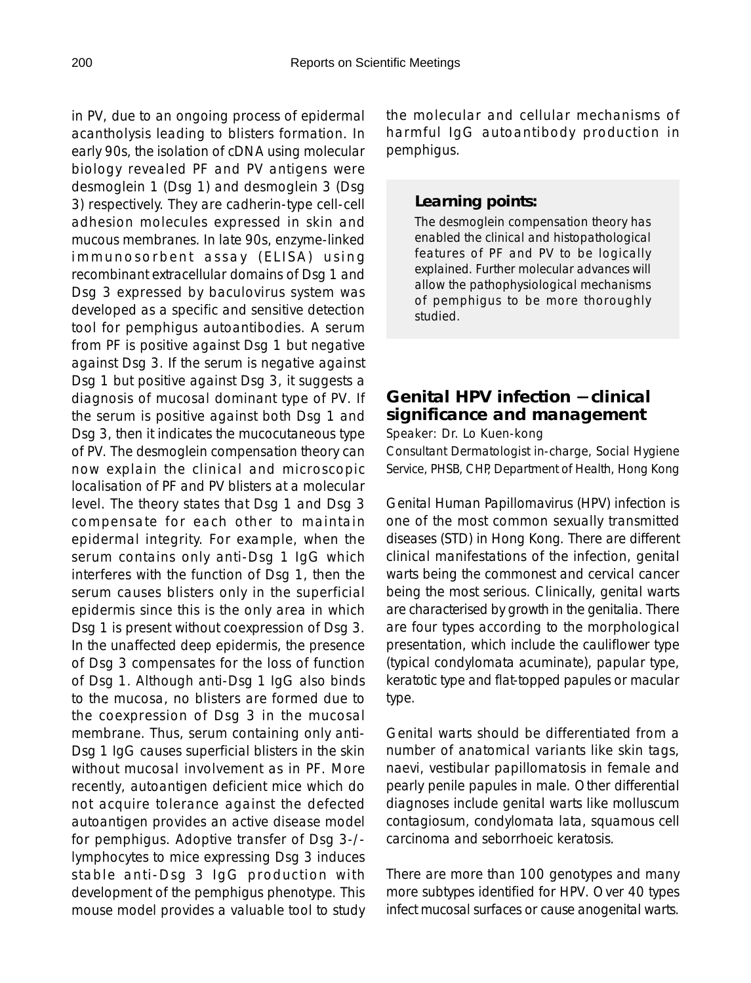in PV, due to an ongoing process of epidermal acantholysis leading to blisters formation. In early 90s, the isolation of cDNA using molecular biology revealed PF and PV antigens were desmoglein 1 (Dsg 1) and desmoglein 3 (Dsg 3) respectively. They are cadherin-type cell-cell adhesion molecules expressed in skin and mucous membranes. In late 90s, enzyme-linked immunosorbent assay (ELISA) using recombinant extracellular domains of Dsg 1 and Dsg 3 expressed by baculovirus system was developed as a specific and sensitive detection tool for pemphigus autoantibodies. A serum from PF is positive against Dsg 1 but negative against Dsg 3. If the serum is negative against Dsg 1 but positive against Dsg 3, it suggests a diagnosis of mucosal dominant type of PV. If the serum is positive against both Dsg 1 and Dsg 3, then it indicates the mucocutaneous type of PV. The desmoglein compensation theory can now explain the clinical and microscopic localisation of PF and PV blisters at a molecular level. The theory states that Dsg 1 and Dsg 3 compensate for each other to maintain epidermal integrity. For example, when the serum contains only anti-Dsg 1 IgG which interferes with the function of Dsg 1, then the serum causes blisters only in the superficial epidermis since this is the only area in which Dsg 1 is present without coexpression of Dsg 3. In the unaffected deep epidermis, the presence of Dsg 3 compensates for the loss of function of Dsg 1. Although anti-Dsg 1 IgG also binds to the mucosa, no blisters are formed due to the coexpression of Dsg 3 in the mucosal membrane. Thus, serum containing only anti-Dsg 1 IgG causes superficial blisters in the skin without mucosal involvement as in PF. More recently, autoantigen deficient mice which do not acquire tolerance against the defected autoantigen provides an active disease model for pemphigus. Adoptive transfer of Dsg 3-/ lymphocytes to mice expressing Dsg 3 induces stable anti-Dsg 3 IgG production with development of the pemphigus phenotype. This mouse model provides a valuable tool to study the molecular and cellular mechanisms of harmful IgG autoantibody production in pemphigus.

#### *Learning points:*

The desmoglein compensation theory has enabled the clinical and histopathological features of PF and PV to be logically explained. Further molecular advances will allow the pathophysiological mechanisms of pemphigus to be more thoroughly studied.

## **Genital HPV infection** − **clinical significance and management**

Speaker: Dr. Lo Kuen-kong

Consultant Dermatologist in-charge, Social Hygiene Service, PHSB, CHP, Department of Health, Hong Kong

Genital Human Papillomavirus (HPV) infection is one of the most common sexually transmitted diseases (STD) in Hong Kong. There are different clinical manifestations of the infection, genital warts being the commonest and cervical cancer being the most serious. Clinically, genital warts are characterised by growth in the genitalia. There are four types according to the morphological presentation, which include the cauliflower type (typical condylomata acuminate), papular type, keratotic type and flat-topped papules or macular type.

Genital warts should be differentiated from a number of anatomical variants like skin tags, naevi, vestibular papillomatosis in female and pearly penile papules in male. Other differential diagnoses include genital warts like molluscum contagiosum, condylomata lata, squamous cell carcinoma and seborrhoeic keratosis.

There are more than 100 genotypes and many more subtypes identified for HPV. Over 40 types infect mucosal surfaces or cause anogenital warts.